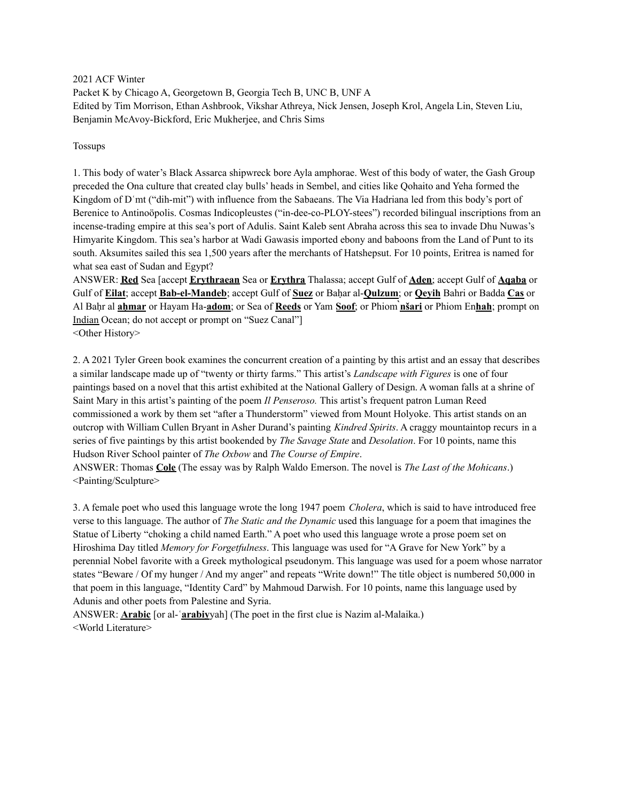2021 ACF Winter Packet K by Chicago A, Georgetown B, Georgia Tech B, UNC B, UNF A Edited by Tim Morrison, Ethan Ashbrook, Vikshar Athreya, Nick Jensen, Joseph Krol, Angela Lin, Steven Liu, Benjamin McAvoy-Bickford, Eric Mukherjee, and Chris Sims

Tossups

1. This body of water's Black Assarca shipwreck bore Ayla amphorae. West of this body of water, the Gash Group preceded the Ona culture that created clay bulls' heads in Sembel, and cities like Qohaito and Yeha formed the Kingdom of Dʿmt ("dih-mit") with influence from the Sabaeans. The Via Hadriana led from this body's port of Berenice to Antinoöpolis. Cosmas Indicopleustes ("in-dee-co-PLOY-stees") recorded bilingual inscriptions from an incense-trading empire at this sea's port of Adulis. Saint Kaleb sent Abraha across this sea to invade Dhu Nuwas's Himyarite Kingdom. This sea's harbor at Wadi Gawasis imported ebony and baboons from the Land of Punt to its south. Aksumites sailed this sea 1,500 years after the merchants of Hatshepsut. For 10 points, Eritrea is named for what sea east of Sudan and Egypt?

ANSWER: **Red** Sea [accept **Erythraean** Sea or **Erythra** Thalassa; accept Gulf of **Aden**; accept Gulf of **Aqaba** or Gulf of **Eilat**; accept **Bab-el-Mandeb**; accept Gulf of **Suez** or Baḥar al-**Qulzum**; or **Qeyih** Bahri or Badda **Cas** or Al Baḥr al **aḥmar** or Hayam Ha-**adom**; or Sea of **Reeds** or Yam **Soof**; or Phiom **̀nšari** or Phiom En**hah**; prompt on Indian Ocean; do not accept or prompt on "Suez Canal"] <Other History>

2. A 2021 Tyler Green book examines the concurrent creation of a painting by this artist and an essay that describes a similar landscape made up of "twenty or thirty farms." This artist's *Landscape with Figures* is one of four paintings based on a novel that this artist exhibited at the National Gallery of Design. A woman falls at a shrine of Saint Mary in this artist's painting of the poem *Il Penseroso.* This artist's frequent patron Luman Reed commissioned a work by them set "after a Thunderstorm" viewed from Mount Holyoke. This artist stands on an outcrop with William Cullen Bryant in Asher Durand's painting *Kindred Spirits*. A craggy mountaintop recurs in a series of five paintings by this artist bookended by *The Savage State* and *Desolation*. For 10 points, name this Hudson River School painter of *The Oxbow* and *The Course of Empire*.

ANSWER: Thomas **Cole** (The essay was by Ralph Waldo Emerson. The novel is *The Last of the Mohicans*.) <Painting/Sculpture>

3. A female poet who used this language wrote the long 1947 poem *Cholera*, which is said to have introduced free verse to this language. The author of *The Static and the Dynamic* used this language for a poem that imagines the Statue of Liberty "choking a child named Earth." A poet who used this language wrote a prose poem set on Hiroshima Day titled *Memory for Forgetfulness*. This language was used for "A Grave for New York" by a perennial Nobel favorite with a Greek mythological pseudonym. This language was used for a poem whose narrator states "Beware / Of my hunger / And my anger" and repeats "Write down!" The title object is numbered 50,000 in that poem in this language, "Identity Card" by Mahmoud Darwish. For 10 points, name this language used by Adunis and other poets from Palestine and Syria.

ANSWER: **Arabic** [or al-ʿ**arabiy**yah] (The poet in the first clue is Nazim al-Malaika.) <World Literature>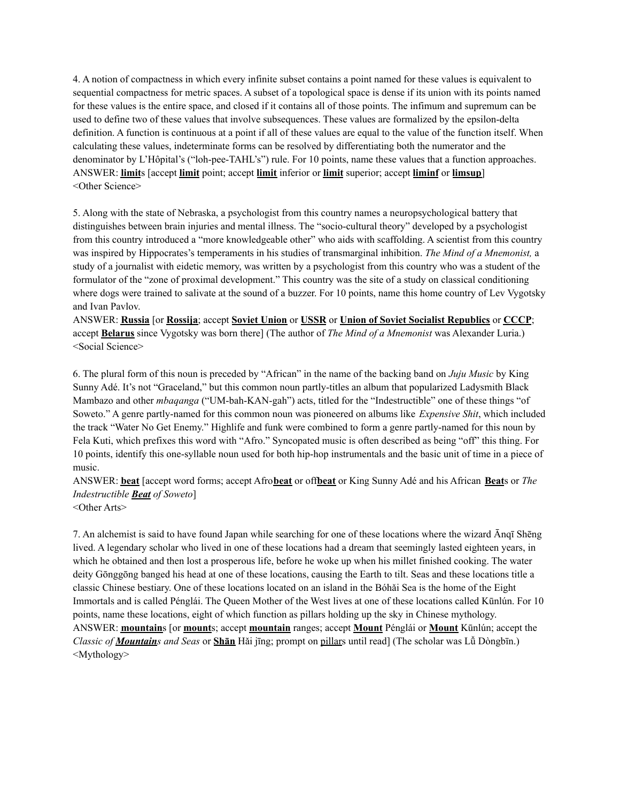4. A notion of compactness in which every infinite subset contains a point named for these values is equivalent to sequential compactness for metric spaces. A subset of a topological space is dense if its union with its points named for these values is the entire space, and closed if it contains all of those points. The infimum and supremum can be used to define two of these values that involve subsequences. These values are formalized by the epsilon-delta definition. A function is continuous at a point if all of these values are equal to the value of the function itself. When calculating these values, indeterminate forms can be resolved by differentiating both the numerator and the denominator by L'Hôpital's ("loh-pee-TAHL's") rule. For 10 points, name these values that a function approaches. ANSWER: **limit**s [accept **limit** point; accept **limit** inferior or **limit** superior; accept **liminf** or **limsup**] <Other Science>

5. Along with the state of Nebraska, a psychologist from this country names a neuropsychological battery that distinguishes between brain injuries and mental illness. The "socio-cultural theory" developed by a psychologist from this country introduced a "more knowledgeable other" who aids with scaffolding. A scientist from this country was inspired by Hippocrates's temperaments in his studies of transmarginal inhibition. *The Mind of a Mnemonist,* a study of a journalist with eidetic memory, was written by a psychologist from this country who was a student of the formulator of the "zone of proximal development." This country was the site of a study on classical conditioning where dogs were trained to salivate at the sound of a buzzer. For 10 points, name this home country of Lev Vygotsky and Ivan Pavlov.

ANSWER: **Russia** [or **Rossija**; accept **Soviet Union** or **USSR** or **Union of Soviet Socialist Republics** or **CCCP**; accept **Belarus** since Vygotsky was born there] (The author of *The Mind of a Mnemonist* was Alexander Luria.) <Social Science>

6. The plural form of this noun is preceded by "African" in the name of the backing band on *Juju Music* by King Sunny Adé. It's not "Graceland," but this common noun partly-titles an album that popularized Ladysmith Black Mambazo and other *mbaqanga* ("UM-bah-KAN-gah") acts, titled for the "Indestructible" one of these things "of Soweto." A genre partly-named for this common noun was pioneered on albums like *Expensive Shit*, which included the track "Water No Get Enemy." Highlife and funk were combined to form a genre partly-named for this noun by Fela Kuti, which prefixes this word with "Afro." Syncopated music is often described as being "off" this thing. For 10 points, identify this one-syllable noun used for both hip-hop instrumentals and the basic unit of time in a piece of music.

ANSWER: **beat** [accept word forms; accept Afro**beat** or off**beat** or King Sunny Adé and his African **Beat**s or *The Indestructible Beat of Soweto*] <Other Arts>

7. An alchemist is said to have found Japan while searching for one of these locations where the wizard Ānqī Shēng lived. A legendary scholar who lived in one of these locations had a dream that seemingly lasted eighteen years, in which he obtained and then lost a prosperous life, before he woke up when his millet finished cooking. The water deity Gōnggōng banged his head at one of these locations, causing the Earth to tilt. Seas and these locations title a classic Chinese bestiary. One of these locations located on an island in the Bóhǎi Sea is the home of the Eight Immortals and is called Pénglái. The Queen Mother of the West lives at one of these locations called Kūnlún. For 10 points, name these locations, eight of which function as pillars holding up the sky in Chinese mythology. ANSWER: **mountain**s [or **mount**s; accept **mountain** ranges; accept **Mount** Pénglái or **Mount** Kūnlún; accept the *Classic of Mountains and Seas* or **Shān** Hǎi jīng; prompt on pillars until read] (The scholar was Lǚ Dòngbīn.) <Mythology>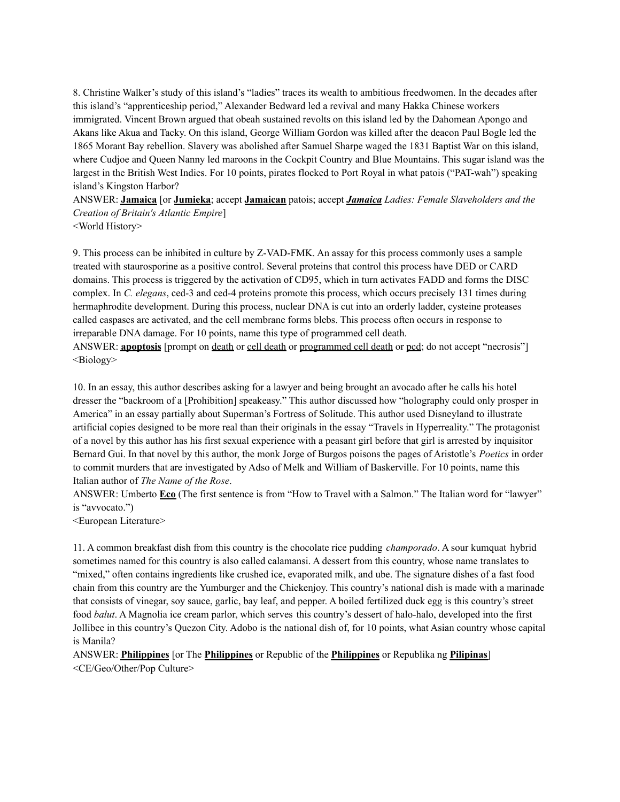8. Christine Walker's study of this island's "ladies" traces its wealth to ambitious freedwomen. In the decades after this island's "apprenticeship period," Alexander Bedward led a revival and many Hakka Chinese workers immigrated. Vincent Brown argued that obeah sustained revolts on this island led by the Dahomean Apongo and Akans like Akua and Tacky. On this island, George William Gordon was killed after the deacon Paul Bogle led the 1865 Morant Bay rebellion. Slavery was abolished after Samuel Sharpe waged the 1831 Baptist War on this island, where Cudjoe and Queen Nanny led maroons in the Cockpit Country and Blue Mountains. This sugar island was the largest in the British West Indies. For 10 points, pirates flocked to Port Royal in what patois ("PAT-wah") speaking island's Kingston Harbor?

ANSWER: **Jamaica** [or **Jumieka**; accept **Jamaican** patois; accept *Jamaica Ladies: Female Slaveholders and the Creation of Britain's Atlantic Empire*]

<World History>

9. This process can be inhibited in culture by Z-VAD-FMK. An assay for this process commonly uses a sample treated with staurosporine as a positive control. Several proteins that control this process have DED or CARD domains. This process is triggered by the activation of CD95, which in turn activates FADD and forms the DISC complex. In *C. elegans*, ced-3 and ced-4 proteins promote this process, which occurs precisely 131 times during hermaphrodite development. During this process, nuclear DNA is cut into an orderly ladder, cysteine proteases called caspases are activated, and the cell membrane forms blebs. This process often occurs in response to irreparable DNA damage. For 10 points, name this type of programmed cell death.

ANSWER: **apoptosis** [prompt on death or cell death or programmed cell death or pcd; do not accept "necrosis"]  $\leq$ Biology $>$ 

10. In an essay, this author describes asking for a lawyer and being brought an avocado after he calls his hotel dresser the "backroom of a [Prohibition] speakeasy." This author discussed how "holography could only prosper in America" in an essay partially about Superman's Fortress of Solitude. This author used Disneyland to illustrate artificial copies designed to be more real than their originals in the essay "Travels in Hyperreality." The protagonist of a novel by this author has his first sexual experience with a peasant girl before that girl is arrested by inquisitor Bernard Gui. In that novel by this author, the monk Jorge of Burgos poisons the pages of Aristotle's *Poetics* in order to commit murders that are investigated by Adso of Melk and William of Baskerville. For 10 points, name this Italian author of *The Name of the Rose*.

ANSWER: Umberto **Eco** (The first sentence is from "How to Travel with a Salmon." The Italian word for "lawyer" is "avvocato.")

<European Literature>

11. A common breakfast dish from this country is the chocolate rice pudding *champorado*. A sour kumquat hybrid sometimes named for this country is also called calamansi. A dessert from this country, whose name translates to "mixed," often contains ingredients like crushed ice, evaporated milk, and ube. The signature dishes of a fast food chain from this country are the Yumburger and the Chickenjoy. This country's national dish is made with a marinade that consists of vinegar, soy sauce, garlic, bay leaf, and pepper. A boiled fertilized duck egg is this country's street food *balut*. A Magnolia ice cream parlor, which serves this country's dessert of halo-halo, developed into the first Jollibee in this country's Quezon City. Adobo is the national dish of, for 10 points, what Asian country whose capital is Manila?

ANSWER: **Philippines** [or The **Philippines** or Republic of the **Philippines** or Republika ng **Pilipinas**] <CE/Geo/Other/Pop Culture>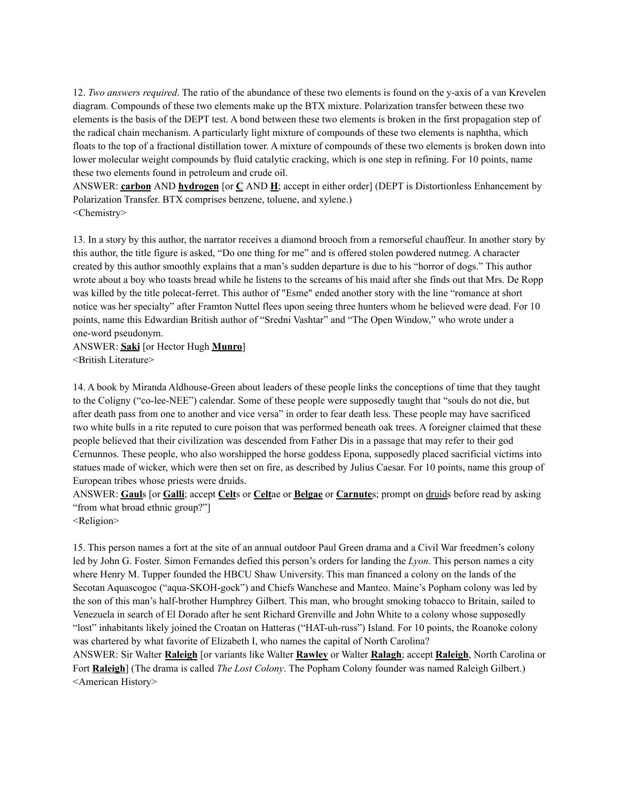12. *Two answers required*. The ratio of the abundance of these two elements is found on the y-axis of a van Krevelen diagram. Compounds of these two elements make up the BTX mixture. Polarization transfer between these two elements is the basis of the DEPT test. A bond between these two elements is broken in the first propagation step of the radical chain mechanism. A particularly light mixture of compounds of these two elements is naphtha, which floats to the top of a fractional distillation tower. A mixture of compounds of these two elements is broken down into lower molecular weight compounds by fluid catalytic cracking, which is one step in refining. For 10 points, name these two elements found in petroleum and crude oil.

ANSWER: **carbon** AND **hydrogen** [or **C** AND **H**; accept in either order] (DEPT is Distortionless Enhancement by Polarization Transfer. BTX comprises benzene, toluene, and xylene.) <Chemistry>

13. In a story by this author, the narrator receives a diamond brooch from a remorseful chauffeur. In another story by this author, the title figure is asked, "Do one thing for me" and is offered stolen powdered nutmeg. A character created by this author smoothly explains that a man's sudden departure is due to his "horror of dogs." This author wrote about a boy who toasts bread while he listens to the screams of his maid after she finds out that Mrs. De Ropp was killed by the title polecat-ferret. This author of "Esme" ended another story with the line "romance at short notice was her specialty" after Framton Nuttel flees upon seeing three hunters whom he believed were dead. For 10 points, name this Edwardian British author of "Sredni Vashtar" and "The Open Window," who wrote under a one-word pseudonym.

ANSWER: **Saki** [or Hector Hugh **Munro**] <British Literature>

14. A book by Miranda Aldhouse-Green about leaders of these people links the conceptions of time that they taught to the Coligny ("co-lee-NEE") calendar. Some of these people were supposedly taught that "souls do not die, but after death pass from one to another and vice versa" in order to fear death less. These people may have sacrificed two white bulls in a rite reputed to cure poison that was performed beneath oak trees. A foreigner claimed that these people believed that their civilization was descended from Father Dis in a passage that may refer to their god Cernunnos. These people, who also worshipped the horse goddess Epona, supposedly placed sacrificial victims into statues made of wicker, which were then set on fire, as described by Julius Caesar. For 10 points, name this group of European tribes whose priests were druids.

ANSWER: **Gaul**s [or **Galli**; accept **Celt**s or **Celt**ae or **Belgae** or **Carnute**s; prompt on druids before read by asking "from what broad ethnic group?"]

<Religion>

15. This person names a fort at the site of an annual outdoor Paul Green drama and a Civil War freedmen's colony led by John G. Foster. Simon Fernandes defied this person's orders for landing the *Lyon*. This person names a city where Henry M. Tupper founded the HBCU Shaw University. This man financed a colony on the lands of the Secotan Aquascogoc ("aqua-SKOH-gock") and Chiefs Wanchese and Manteo. Maine's Popham colony was led by the son of this man's half-brother Humphrey Gilbert. This man, who brought smoking tobacco to Britain, sailed to Venezuela in search of El Dorado after he sent Richard Grenville and John White to a colony whose supposedly "lost" inhabitants likely joined the Croatan on Hatteras ("HAT-uh-russ") Island. For 10 points, the Roanoke colony was chartered by what favorite of Elizabeth I, who names the capital of North Carolina?

ANSWER: Sir Walter **Raleigh** [or variants like Walter **Rawley** or Walter **Ralagh**; accept **Raleigh**, North Carolina or Fort **Raleigh**] (The drama is called *The Lost Colony*. The Popham Colony founder was named Raleigh Gilbert.) <American History>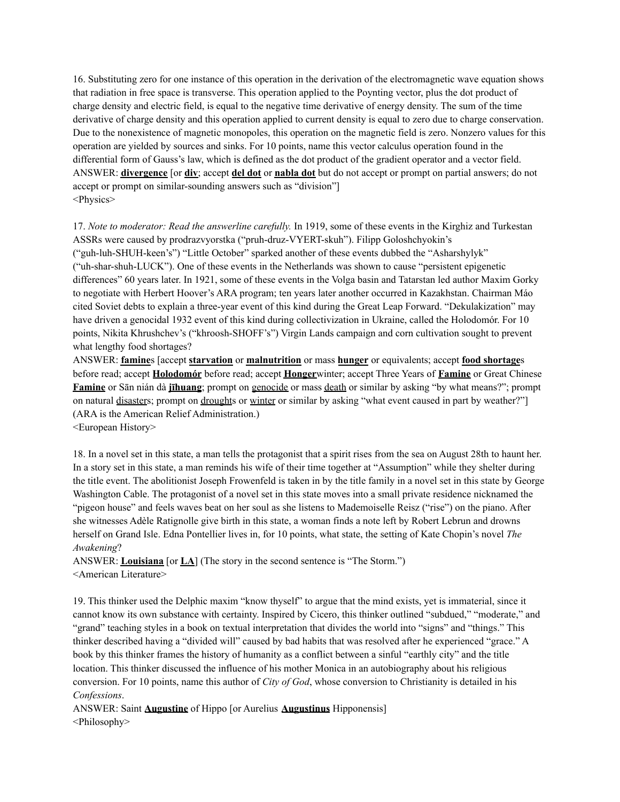16. Substituting zero for one instance of this operation in the derivation of the electromagnetic wave equation shows that radiation in free space is transverse. This operation applied to the Poynting vector, plus the dot product of charge density and electric field, is equal to the negative time derivative of energy density. The sum of the time derivative of charge density and this operation applied to current density is equal to zero due to charge conservation. Due to the nonexistence of magnetic monopoles, this operation on the magnetic field is zero. Nonzero values for this operation are yielded by sources and sinks. For 10 points, name this vector calculus operation found in the differential form of Gauss's law, which is defined as the dot product of the gradient operator and a vector field. ANSWER: **divergence** [or **div**; accept **del dot** or **nabla dot** but do not accept or prompt on partial answers; do not accept or prompt on similar-sounding answers such as "division"] <Physics>

17. *Note to moderator: Read the answerline carefully.* In 1919, some of these events in the Kirghiz and Turkestan ASSRs were caused by prodrazvyorstka ("pruh-druz-VYERT-skuh"). Filipp Goloshchyokin's ("guh-luh-SHUH-keen's") "Little October" sparked another of these events dubbed the "Asharshylyk" ("uh-shar-shuh-LUCK"). One of these events in the Netherlands was shown to cause "persistent epigenetic differences" 60 years later. In 1921, some of these events in the Volga basin and Tatarstan led author Maxim Gorky to negotiate with Herbert Hoover's ARA program; ten years later another occurred in Kazakhstan. Chairman Máo cited Soviet debts to explain a three-year event of this kind during the Great Leap Forward. "Dekulakization" may have driven a genocidal 1932 event of this kind during collectivization in Ukraine, called the Holodomór. For 10 points, Nikita Khrushchev's ("khroosh-SHOFF's") Virgin Lands campaign and corn cultivation sought to prevent what lengthy food shortages?

ANSWER: **famine**s [accept **starvation** or **malnutrition** or mass **hunger** or equivalents; accept **food shortage**s before read; accept **Holodomór** before read; accept **Honger**winter; accept Three Years of **Famine** or Great Chinese **Famine** or Sān nián dà **jīhuang**; prompt on genocide or mass death or similar by asking "by what means?"; prompt on natural disasters; prompt on droughts or winter or similar by asking "what event caused in part by weather?" (ARA is the American Relief Administration.)

<European History>

18. In a novel set in this state, a man tells the protagonist that a spirit rises from the sea on August 28th to haunt her. In a story set in this state, a man reminds his wife of their time together at "Assumption" while they shelter during the title event. The abolitionist Joseph Frowenfeld is taken in by the title family in a novel set in this state by George Washington Cable. The protagonist of a novel set in this state moves into a small private residence nicknamed the "pigeon house" and feels waves beat on her soul as she listens to Mademoiselle Reisz ("rise") on the piano. After she witnesses Adèle Ratignolle give birth in this state, a woman finds a note left by Robert Lebrun and drowns herself on Grand Isle. Edna Pontellier lives in, for 10 points, what state, the setting of Kate Chopin's novel *The Awakening*?

ANSWER: **Louisiana** [or **LA**] (The story in the second sentence is "The Storm.") <American Literature>

19. This thinker used the Delphic maxim "know thyself" to argue that the mind exists, yet is immaterial, since it cannot know its own substance with certainty. Inspired by Cicero, this thinker outlined "subdued," "moderate," and "grand" teaching styles in a book on textual interpretation that divides the world into "signs" and "things." This thinker described having a "divided will" caused by bad habits that was resolved after he experienced "grace." A book by this thinker frames the history of humanity as a conflict between a sinful "earthly city" and the title location. This thinker discussed the influence of his mother Monica in an autobiography about his religious conversion. For 10 points, name this author of *City of God*, whose conversion to Christianity is detailed in his *Confessions*.

ANSWER: Saint **Augustine** of Hippo [or Aurelius **Augustinus** Hipponensis] <Philosophy>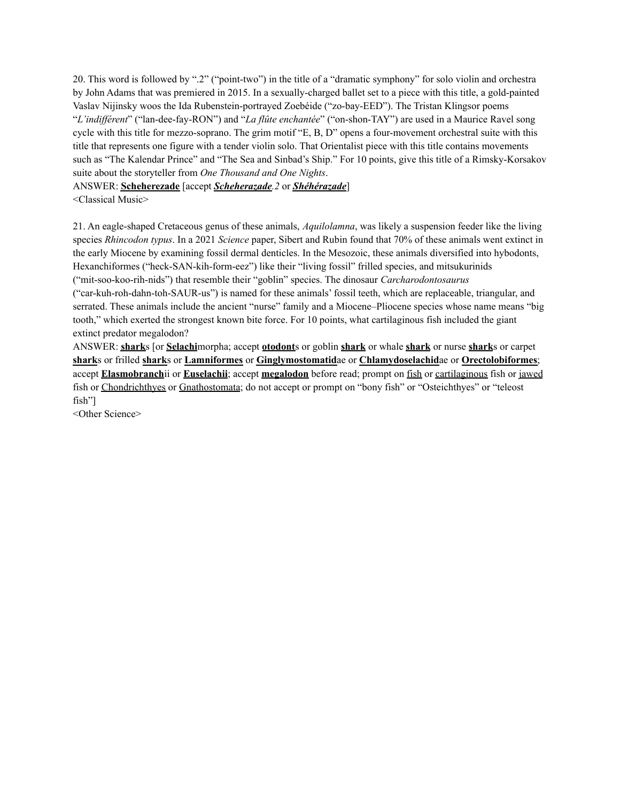20. This word is followed by ".2" ("point-two") in the title of a "dramatic symphony" for solo violin and orchestra by John Adams that was premiered in 2015. In a sexually-charged ballet set to a piece with this title, a gold-painted Vaslav Nijinsky woos the Ida Rubenstein-portrayed Zoebéide ("zo-bay-EED"). The Tristan Klingsor poems "*L'indif érent*" ("lan-dee-fay-RON") and "*La flûte enchantée*" ("on-shon-TAY") are used in a Maurice Ravel song cycle with this title for mezzo-soprano. The grim motif "E, B, D" opens a four-movement orchestral suite with this title that represents one figure with a tender violin solo. That Orientalist piece with this title contains movements such as "The Kalendar Prince" and "The Sea and Sinbad's Ship." For 10 points, give this title of a Rimsky-Korsakov suite about the storyteller from *One Thousand and One Nights*.

## ANSWER: **Scheherezade** [accept *Scheherazade.2* or *Shéhérazade*] <Classical Music>

21. An eagle-shaped Cretaceous genus of these animals, *Aquilolamna*, was likely a suspension feeder like the living species *Rhincodon typus*. In a 2021 *Science* paper, Sibert and Rubin found that 70% of these animals went extinct in the early Miocene by examining fossil dermal denticles. In the Mesozoic, these animals diversified into hybodonts, Hexanchiformes ("heck-SAN-kih-form-eez") like their "living fossil" frilled species, and mitsukurinids ("mit-soo-koo-rih-nids") that resemble their "goblin" species. The dinosaur *Carcharodontosaurus* ("car-kuh-roh-dahn-toh-SAUR-us") is named for these animals' fossil teeth, which are replaceable, triangular, and serrated. These animals include the ancient "nurse" family and a Miocene–Pliocene species whose name means "big tooth," which exerted the strongest known bite force. For 10 points, what cartilaginous fish included the giant extinct predator megalodon?

ANSWER: **shark**s [or **Selachi**morpha; accept **otodont**s or goblin **shark** or whale **shark** or nurse **shark**s or carpet **shark**s or frilled **shark**s or **Lamniformes** or **Ginglymostomatid**ae or **Chlamydoselachid**ae or **Orectolobiformes**; accept **Elasmobranch**ii or **Euselachii**; accept **megalodon** before read; prompt on fish or cartilaginous fish or jawed fish or Chondrichthyes or Gnathostomata; do not accept or prompt on "bony fish" or "Osteichthyes" or "teleost fish"]

<Other Science>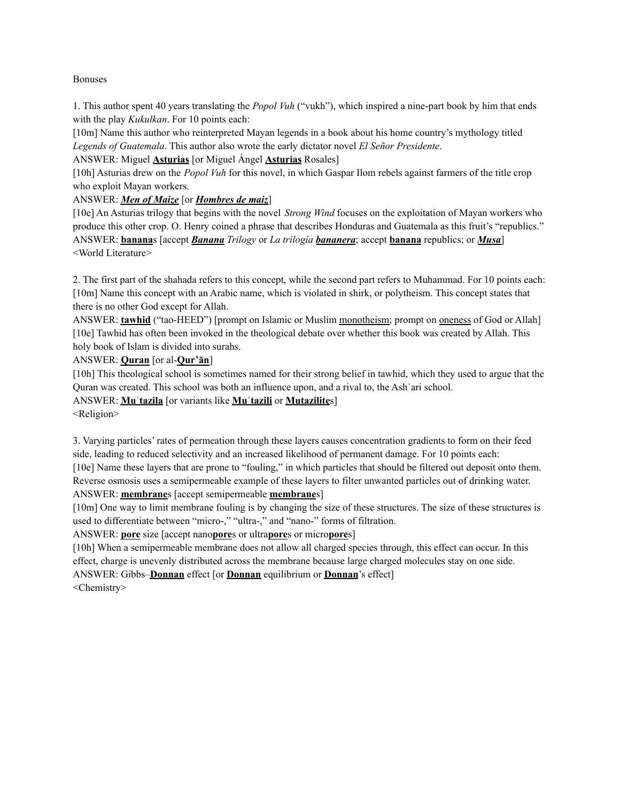### Bonuses

1. This author spent 40 years translating the *Popol Vuh* ("vukh"), which inspired a nine-part book by him that ends with the play *Kukulkan*. For 10 points each:

[10m] Name this author who reinterpreted Mayan legends in a book about his home country's mythology titled *Legends of Guatemala*. This author also wrote the early dictator novel *El Señor Presidente*.

ANSWER: Miguel **Asturias** [or Miguel Ángel **Asturias** Rosales]

[10h] Asturias drew on the *Popol Vuh* for this novel, in which Gaspar Ilom rebels against farmers of the title crop who exploit Mayan workers.

ANSWER: *Men of Maize* [or *Hombres de maiz*]

[10e] An Asturias trilogy that begins with the novel *Strong Wind* focuses on the exploitation of Mayan workers who produce this other crop. O. Henry coined a phrase that describes Honduras and Guatemala as this fruit's "republics." ANSWER: **banana**s [accept *Banana Trilogy* or *La trilogía bananera*; accept **banana** republics; or *Musa*] <World Literature>

2. The first part of the shahada refers to this concept, while the second part refers to Muhammad. For 10 points each: [10m] Name this concept with an Arabic name, which is violated in shirk, or polytheism. This concept states that there is no other God except for Allah.

ANSWER: **tawhid** ("tao-HEED") [prompt on Islamic or Muslim monotheism; prompt on oneness of God or Allah] [10e] Tawhid has often been invoked in the theological debate over whether this book was created by Allah. This holy book of Islam is divided into surahs.

ANSWER: **Quran** [or al-**Qur'ān**]

[10h] This theological school is sometimes named for their strong belief in tawhid, which they used to argue that the Quran was created. This school was both an influence upon, and a rival to, the Ashʿari school.

ANSWER: **Muʿtazila** [or variants like **Muʿtazili** or **Mutazilite**s]

<Religion>

3. Varying particles' rates of permeation through these layers causes concentration gradients to form on their feed side, leading to reduced selectivity and an increased likelihood of permanent damage. For 10 points each: [10e] Name these layers that are prone to "fouling," in which particles that should be filtered out deposit onto them. Reverse osmosis uses a semipermeable example of these layers to filter unwanted particles out of drinking water.

## ANSWER: **membrane**s [accept semipermeable **membrane**s]

[10m] One way to limit membrane fouling is by changing the size of these structures. The size of these structures is used to differentiate between "micro-," "ultra-," and "nano-" forms of filtration.

ANSWER: **pore** size [accept nano**pore**s or ultra**pore**s or micro**pore**s]

[10h] When a semipermeable membrane does not allow all charged species through, this effect can occur. In this effect, charge is unevenly distributed across the membrane because large charged molecules stay on one side.

ANSWER: Gibbs–**Donnan** effect [or **Donnan** equilibrium or **Donnan**'s effect]

<Chemistry>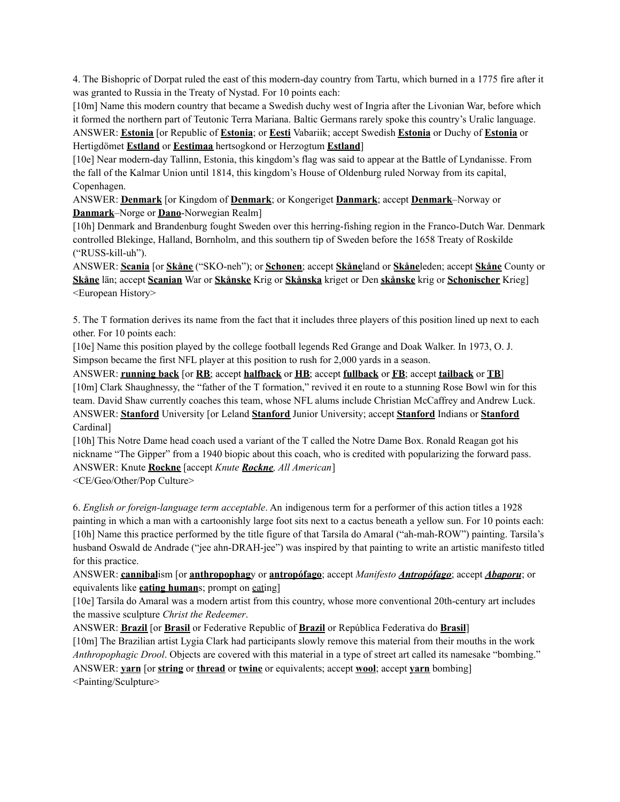4. The Bishopric of Dorpat ruled the east of this modern-day country from Tartu, which burned in a 1775 fire after it was granted to Russia in the Treaty of Nystad. For 10 points each:

[10m] Name this modern country that became a Swedish duchy west of Ingria after the Livonian War, before which it formed the northern part of Teutonic Terra Mariana. Baltic Germans rarely spoke this country's Uralic language. ANSWER: **Estonia** [or Republic of **Estonia**; or **Eesti** Vabariik; accept Swedish **Estonia** or Duchy of **Estonia** or

Hertigdömet **Estland** or **Eestimaa** hertsogkond or Herzogtum **Estland**]

[10e] Near modern-day Tallinn, Estonia, this kingdom's flag was said to appear at the Battle of Lyndanisse. From the fall of the Kalmar Union until 1814, this kingdom's House of Oldenburg ruled Norway from its capital, Copenhagen.

ANSWER: **Denmark** [or Kingdom of **Denmark**; or Kongeriget **Danmark**; accept **Denmark**–Norway or **Danmark**–Norge or **Dano**-Norwegian Realm]

[10h] Denmark and Brandenburg fought Sweden over this herring-fishing region in the Franco-Dutch War. Denmark controlled Blekinge, Halland, Bornholm, and this southern tip of Sweden before the 1658 Treaty of Roskilde ("RUSS-kill-uh").

ANSWER: **Scania** [or **Skåne** ("SKO-neh"); or **Schonen**; accept **Skåne**land or **Skåne**leden; accept **Skåne** County or **Skåne** län; accept **Scanian** War or **Skånske** Krig or **Skånska** kriget or Den **skånske** krig or **Schonischer** Krieg] <European History>

5. The T formation derives its name from the fact that it includes three players of this position lined up next to each other. For 10 points each:

[10e] Name this position played by the college football legends Red Grange and Doak Walker. In 1973, O. J. Simpson became the first NFL player at this position to rush for 2,000 yards in a season.

ANSWER: **running back** [or **RB**; accept **halfback** or **HB**; accept **fullback** or **FB**; accept **tailback** or **TB**] [10m] Clark Shaughnessy, the "father of the T formation," revived it en route to a stunning Rose Bowl win for this team. David Shaw currently coaches this team, whose NFL alums include Christian McCaffrey and Andrew Luck. ANSWER: **Stanford** University [or Leland **Stanford** Junior University; accept **Stanford** Indians or **Stanford** Cardinal]

[10h] This Notre Dame head coach used a variant of the T called the Notre Dame Box. Ronald Reagan got his nickname "The Gipper" from a 1940 biopic about this coach, who is credited with popularizing the forward pass. ANSWER: Knute **Rockne** [accept *Knute Rockne, All American*]

<CE/Geo/Other/Pop Culture>

6. *English or foreign-language term acceptable*. An indigenous term for a performer of this action titles a 1928 painting in which a man with a cartoonishly large foot sits next to a cactus beneath a yellow sun. For 10 points each: [10h] Name this practice performed by the title figure of that Tarsila do Amaral ("ah-mah-ROW") painting. Tarsila's husband Oswald de Andrade ("jee ahn-DRAH-jee") was inspired by that painting to write an artistic manifesto titled for this practice.

ANSWER: **cannibal**ism [or **anthropophag**y or **antropófago**; accept *Manifesto Antropófago*; accept *Abaporu*; or equivalents like **eating human**s; prompt on eating]

[10e] Tarsila do Amaral was a modern artist from this country, whose more conventional 20th-century art includes the massive sculpture *Christ the Redeemer*.

ANSWER: **Brazil** [or **Brasil** or Federative Republic of **Brazil** or República Federativa do **Brasil**] [10m] The Brazilian artist Lygia Clark had participants slowly remove this material from their mouths in the work *Anthropophagic Drool*. Objects are covered with this material in a type of street art called its namesake "bombing." ANSWER: **yarn** [or **string** or **thread** or **twine** or equivalents; accept **wool**; accept **yarn** bombing] <Painting/Sculpture>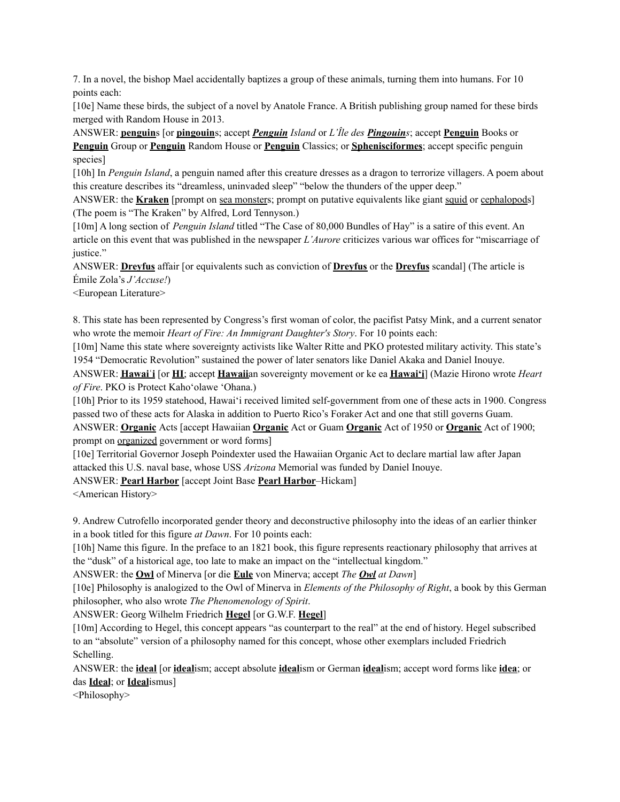7. In a novel, the bishop Mael accidentally baptizes a group of these animals, turning them into humans. For 10 points each:

[10e] Name these birds, the subject of a novel by Anatole France. A British publishing group named for these birds merged with Random House in 2013.

ANSWER: **penguin**s [or **pingouin**s; accept *Penguin Island* or *L'Île des Pingouins*; accept **Penguin** Books or **Penguin** Group or **Penguin** Random House or **Penguin** Classics; or **Sphenisciformes**; accept specific penguin species]

[10h] In *Penguin Island*, a penguin named after this creature dresses as a dragon to terrorize villagers. A poem about this creature describes its "dreamless, uninvaded sleep" "below the thunders of the upper deep."

ANSWER: the **Kraken** [prompt on sea monsters; prompt on putative equivalents like giant squid or cephalopods] (The poem is "The Kraken" by Alfred, Lord Tennyson.)

[10m] A long section of *Penguin Island* titled "The Case of 80,000 Bundles of Hay" is a satire of this event. An article on this event that was published in the newspaper *L'Aurore* criticizes various war offices for "miscarriage of justice."

ANSWER: **Dreyfus** affair [or equivalents such as conviction of **Dreyfus** or the **Dreyfus** scandal] (The article is Émile Zola's *J'Accuse!*)

<European Literature>

8. This state has been represented by Congress's first woman of color, the pacifist Patsy Mink, and a current senator who wrote the memoir *Heart of Fire: An Immigrant Daughter's Story*. For 10 points each:

[10m] Name this state where sovereignty activists like Walter Ritte and PKO protested military activity. This state's 1954 "Democratic Revolution" sustained the power of later senators like Daniel Akaka and Daniel Inouye.

ANSWER: **Hawaiʿi** [or **HI**; accept **Hawaii**an sovereignty movement or ke ea **Hawaiʻi**] (Mazie Hirono wrote *Heart of Fire*. PKO is Protect Kaho'olawe 'Ohana.)

[10h] Prior to its 1959 statehood, Hawaiʻi received limited self-government from one of these acts in 1900. Congress passed two of these acts for Alaska in addition to Puerto Rico's Foraker Act and one that still governs Guam.

ANSWER: **Organic** Acts [accept Hawaiian **Organic** Act or Guam **Organic** Act of 1950 or **Organic** Act of 1900; prompt on organized government or word forms]

[10e] Territorial Governor Joseph Poindexter used the Hawaiian Organic Act to declare martial law after Japan attacked this U.S. naval base, whose USS *Arizona* Memorial was funded by Daniel Inouye.

ANSWER: **Pearl Harbor** [accept Joint Base **Pearl Harbor**–Hickam]

<American History>

9. Andrew Cutrofello incorporated gender theory and deconstructive philosophy into the ideas of an earlier thinker in a book titled for this figure *at Dawn*. For 10 points each:

[10h] Name this figure. In the preface to an 1821 book, this figure represents reactionary philosophy that arrives at the "dusk" of a historical age, too late to make an impact on the "intellectual kingdom."

ANSWER: the **Owl** of Minerva [or die **Eule** von Minerva; accept *The Owl at Dawn*]

[10e] Philosophy is analogized to the Owl of Minerva in *Elements of the Philosophy of Right*, a book by this German philosopher, who also wrote *The Phenomenology of Spirit*.

ANSWER: Georg Wilhelm Friedrich **Hegel** [or G.W.F. **Hegel**]

[10m] According to Hegel, this concept appears "as counterpart to the real" at the end of history. Hegel subscribed to an "absolute" version of a philosophy named for this concept, whose other exemplars included Friedrich Schelling.

ANSWER: the **ideal** [or **ideal**ism; accept absolute **ideal**ism or German **ideal**ism; accept word forms like **idea**; or das **Ideal**; or **Ideal**ismus]

<Philosophy>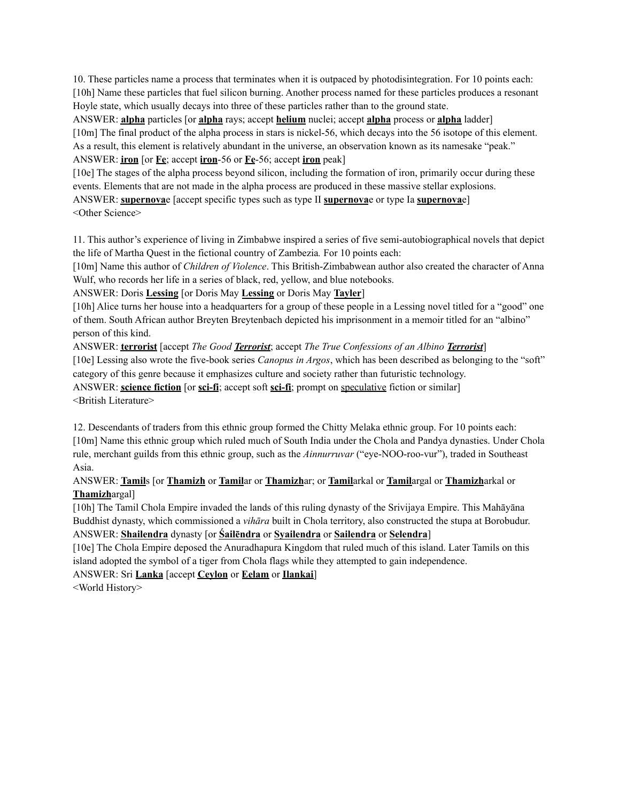10. These particles name a process that terminates when it is outpaced by photodisintegration. For 10 points each: [10h] Name these particles that fuel silicon burning. Another process named for these particles produces a resonant Hoyle state, which usually decays into three of these particles rather than to the ground state.

ANSWER: **alpha** particles [or **alpha** rays; accept **helium** nuclei; accept **alpha** process or **alpha** ladder] [10m] The final product of the alpha process in stars is nickel-56, which decays into the 56 isotope of this element. As a result, this element is relatively abundant in the universe, an observation known as its namesake "peak." ANSWER: **iron** [or **Fe**; accept **iron**-56 or **Fe**-56; accept **iron** peak]

[10e] The stages of the alpha process beyond silicon, including the formation of iron, primarily occur during these events. Elements that are not made in the alpha process are produced in these massive stellar explosions. ANSWER: **supernova**e [accept specific types such as type II **supernova**e or type Ia **supernova**e] <Other Science>

11. This author's experience of living in Zimbabwe inspired a series of five semi-autobiographical novels that depict the life of Martha Quest in the fictional country of Zambezia*.* For 10 points each:

[10m] Name this author of *Children of Violence*. This British-Zimbabwean author also created the character of Anna Wulf, who records her life in a series of black, red, yellow, and blue notebooks.

ANSWER: Doris **Lessing** [or Doris May **Lessing** or Doris May **Tayler**]

[10h] Alice turns her house into a headquarters for a group of these people in a Lessing novel titled for a "good" one of them. South African author Breyten Breytenbach depicted his imprisonment in a memoir titled for an "albino" person of this kind.

ANSWER: **terrorist** [accept *The Good Terrorist*; accept *The True Confessions of an Albino Terrorist*] [10e] Lessing also wrote the five-book series *Canopus in Argos*, which has been described as belonging to the "soft" category of this genre because it emphasizes culture and society rather than futuristic technology.

ANSWER: **science fiction** [or **sci-fi**; accept soft **sci-fi**; prompt on speculative fiction or similar] <British Literature>

12. Descendants of traders from this ethnic group formed the Chitty Melaka ethnic group. For 10 points each: [10m] Name this ethnic group which ruled much of South India under the Chola and Pandya dynasties. Under Chola rule, merchant guilds from this ethnic group, such as the *Ainnurruvar* ("eye-NOO-roo-vur"), traded in Southeast Asia.

# ANSWER: **Tamil**s [or **Thamizh** or **Tamil**ar or **Thamizh**ar; or **Tamil**arkal or **Tamil**argal or **Thamizh**arkal or **Thamizh**argal]

[10h] The Tamil Chola Empire invaded the lands of this ruling dynasty of the Srivijaya Empire. This Mahāyāna Buddhist dynasty, which commissioned a *vihāra* built in Chola territory, also constructed the stupa at Borobudur. ANSWER: **Shailendra** dynasty [or **Śailēndra** or **Syailendra** or **Sailendra** or **Selendra**]

[10e] The Chola Empire deposed the Anuradhapura Kingdom that ruled much of this island. Later Tamils on this island adopted the symbol of a tiger from Chola flags while they attempted to gain independence.

ANSWER: Sri **Lanka** [accept **Ceylon** or **Eelam** or **Ilankai**]

<World History>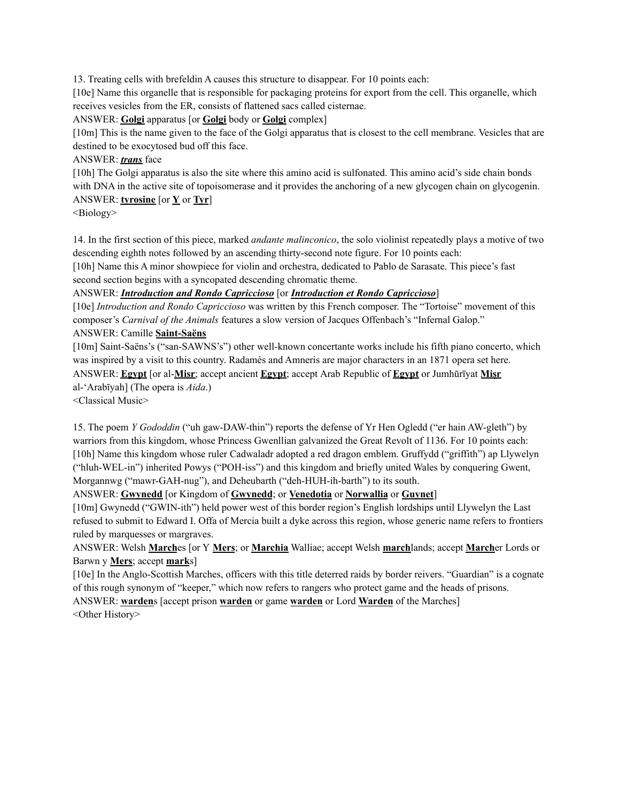13. Treating cells with brefeldin A causes this structure to disappear. For 10 points each:

[10e] Name this organelle that is responsible for packaging proteins for export from the cell. This organelle, which receives vesicles from the ER, consists of flattened sacs called cisternae.

ANSWER: **Golgi** apparatus [or **Golgi** body or **Golgi** complex]

[10m] This is the name given to the face of the Golgi apparatus that is closest to the cell membrane. Vesicles that are destined to be exocytosed bud off this face.

ANSWER: *trans* face

[10h] The Golgi apparatus is also the site where this amino acid is sulfonated. This amino acid's side chain bonds with DNA in the active site of topoisomerase and it provides the anchoring of a new glycogen chain on glycogenin. ANSWER: **tyrosine** [or **Y** or **Tyr**]

<Biology>

14. In the first section of this piece, marked *andante malinconico*, the solo violinist repeatedly plays a motive of two descending eighth notes followed by an ascending thirty-second note figure. For 10 points each:

[10h] Name this A minor showpiece for violin and orchestra, dedicated to Pablo de Sarasate. This piece's fast second section begins with a syncopated descending chromatic theme.

ANSWER: *Introduction and Rondo Capriccioso* [or *Introduction et Rondo Capriccioso*]

[10e] *Introduction and Rondo Capriccioso* was written by this French composer. The "Tortoise" movement of this composer's *Carnival of the Animals* features a slow version of Jacques Offenbach's "Infernal Galop." ANSWER: Camille **Saint-Saëns**

[10m] Saint-Saëns's ("san-SAWNS's") other well-known concertante works include his fifth piano concerto, which was inspired by a visit to this country. Radamès and Amneris are major characters in an 1871 opera set here. ANSWER: **Egypt** [or al-**Misr**; accept ancient **Egypt**; accept Arab Republic of **Egypt** or Jumhūrīyat **Miṣr** al-ʻArabīyah] (The opera is *Aida*.)

<Classical Music>

15. The poem *Y Gododdin* ("uh gaw-DAW-thin") reports the defense of Yr Hen Ogledd ("er hain AW-gleth") by warriors from this kingdom, whose Princess Gwenllian galvanized the Great Revolt of 1136. For 10 points each: [10h] Name this kingdom whose ruler Cadwaladr adopted a red dragon emblem. Gruffydd ("griffith") ap Llywelyn ("hluh-WEL-in") inherited Powys ("POH-iss") and this kingdom and briefly united Wales by conquering Gwent, Morgannwg ("mawr-GAH-nug"), and Deheubarth ("deh-HUH-ih-barth") to its south.

ANSWER: **Gwynedd** [or Kingdom of **Gwynedd**; or **Venedotia** or **Norwallia** or **Guynet**]

[10m] Gwynedd ("GWIN-ith") held power west of this border region's English lordships until Llywelyn the Last refused to submit to Edward I. Offa of Mercia built a dyke across this region, whose generic name refers to frontiers ruled by marquesses or margraves.

ANSWER: Welsh **March**es [or Y **Mers**; or **Marchia** Walliae; accept Welsh **march**lands; accept **March**er Lords or Barwn y **Mers**; accept **mark**s]

[10e] In the Anglo-Scottish Marches, officers with this title deterred raids by border reivers. "Guardian" is a cognate of this rough synonym of "keeper," which now refers to rangers who protect game and the heads of prisons.

ANSWER: **warden**s [accept prison **warden** or game **warden** or Lord **Warden** of the Marches] <Other History>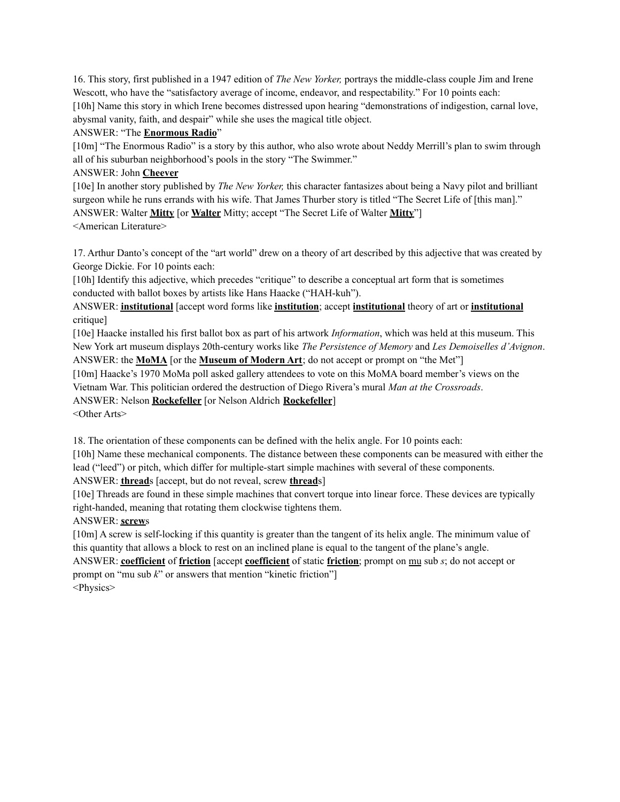16. This story, first published in a 1947 edition of *The New Yorker,* portrays the middle-class couple Jim and Irene Wescott, who have the "satisfactory average of income, endeavor, and respectability." For 10 points each: [10h] Name this story in which Irene becomes distressed upon hearing "demonstrations of indigestion, carnal love, abysmal vanity, faith, and despair" while she uses the magical title object.

### ANSWER: "The **Enormous Radio**"

[10m] "The Enormous Radio" is a story by this author, who also wrote about Neddy Merrill's plan to swim through all of his suburban neighborhood's pools in the story "The Swimmer."

## ANSWER: John **Cheever**

[10e] In another story published by *The New Yorker,* this character fantasizes about being a Navy pilot and brilliant surgeon while he runs errands with his wife. That James Thurber story is titled "The Secret Life of [this man]." ANSWER: Walter **Mitty** [or **Walter** Mitty; accept "The Secret Life of Walter **Mitty**"] <American Literature>

17. Arthur Danto's concept of the "art world" drew on a theory of art described by this adjective that was created by George Dickie. For 10 points each:

[10h] Identify this adjective, which precedes "critique" to describe a conceptual art form that is sometimes conducted with ballot boxes by artists like Hans Haacke ("HAH-kuh").

ANSWER: **institutional** [accept word forms like **institution**; accept **institutional** theory of art or **institutional** critique]

[10e] Haacke installed his first ballot box as part of his artwork *Information*, which was held at this museum. This New York art museum displays 20th-century works like *The Persistence of Memory* and *Les Demoiselles d'Avignon*.

ANSWER: the **MoMA** [or the **Museum of Modern Art**; do not accept or prompt on "the Met"]

[10m] Haacke's 1970 MoMa poll asked gallery attendees to vote on this MoMA board member's views on the Vietnam War. This politician ordered the destruction of Diego Rivera's mural *Man at the Crossroads*.

ANSWER: Nelson **Rockefeller** [or Nelson Aldrich **Rockefeller**]

<Other Arts>

18. The orientation of these components can be defined with the helix angle. For 10 points each:

[10h] Name these mechanical components. The distance between these components can be measured with either the lead ("leed") or pitch, which differ for multiple-start simple machines with several of these components.

ANSWER: **thread**s [accept, but do not reveal, screw **thread**s]

[10e] Threads are found in these simple machines that convert torque into linear force. These devices are typically right-handed, meaning that rotating them clockwise tightens them.

ANSWER: **screw**s

[10m] A screw is self-locking if this quantity is greater than the tangent of its helix angle. The minimum value of this quantity that allows a block to rest on an inclined plane is equal to the tangent of the plane's angle. ANSWER: **coefficient** of **friction** [accept **coefficient** of static **friction**; prompt on mu sub *s*; do not accept or

prompt on "mu sub *k*" or answers that mention "kinetic friction"]

<Physics>